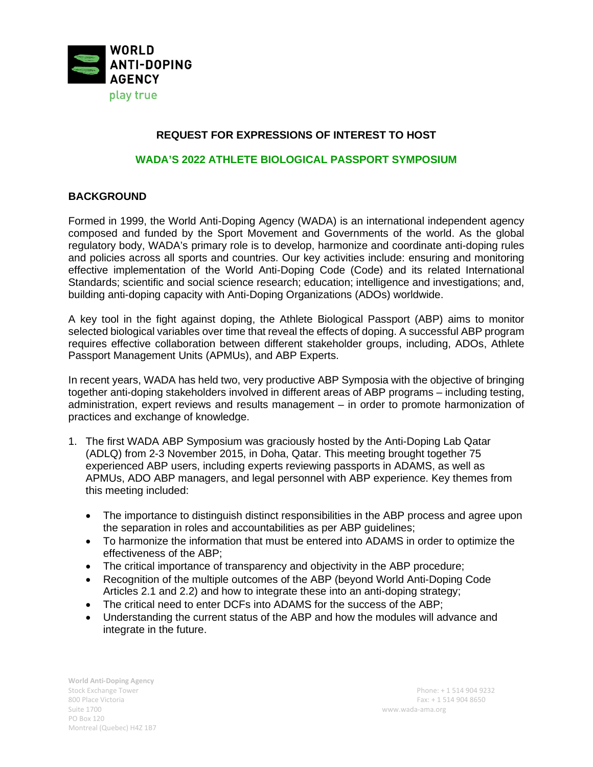

## **REQUEST FOR EXPRESSIONS OF INTEREST TO HOST**

### **WADA'S 2022 ATHLETE BIOLOGICAL PASSPORT SYMPOSIUM**

### **BACKGROUND**

Formed in 1999, the World Anti-Doping Agency (WADA) is an international independent agency composed and funded by the Sport Movement and Governments of the world. As the global regulatory body, WADA's primary role is to develop, harmonize and coordinate anti-doping rules and policies across all sports and countries. Our key activities include: ensuring and monitoring effective implementation of the World Anti-Doping Code (Code) and its related International Standards; scientific and social science research; education; intelligence and investigations; and, building anti-doping capacity with Anti-Doping Organizations (ADOs) worldwide.

A key tool in the fight against doping, the Athlete Biological Passport (ABP) aims to monitor selected biological variables over time that reveal the effects of doping. A successful ABP program requires effective collaboration between different stakeholder groups, including, ADOs, Athlete Passport Management Units (APMUs), and ABP Experts.

In recent years, WADA has held two, very productive ABP Symposia with the objective of bringing together anti-doping stakeholders involved in different areas of ABP programs – including testing, administration, expert reviews and results management – in order to promote harmonization of practices and exchange of knowledge.

- 1. The first WADA ABP Symposium was graciously hosted by the Anti-Doping Lab Qatar (ADLQ) from 2-3 November 2015, in Doha, Qatar. This meeting brought together 75 experienced ABP users, including experts reviewing passports in ADAMS, as well as APMUs, ADO ABP managers, and legal personnel with ABP experience. Key themes from this meeting included:
	- The importance to distinguish distinct responsibilities in the ABP process and agree upon the separation in roles and accountabilities as per ABP guidelines;
	- To harmonize the information that must be entered into ADAMS in order to optimize the effectiveness of the ABP;
	- The critical importance of transparency and objectivity in the ABP procedure;
	- Recognition of the multiple outcomes of the ABP (beyond World Anti-Doping Code Articles 2.1 and 2.2) and how to integrate these into an anti-doping strategy;
	- The critical need to enter DCFs into ADAMS for the success of the ABP;
	- Understanding the current status of the ABP and how the modules will advance and integrate in the future.

**World Anti-Doping Agency**  Stock Exchange Tower Phone: + 1 514 904 9232 Suite 1700 www.wada-ama.org PO Box 120 Montreal (Quebec) H4Z 1B7

800 Place Victoria Fax: + 1 514 904 8650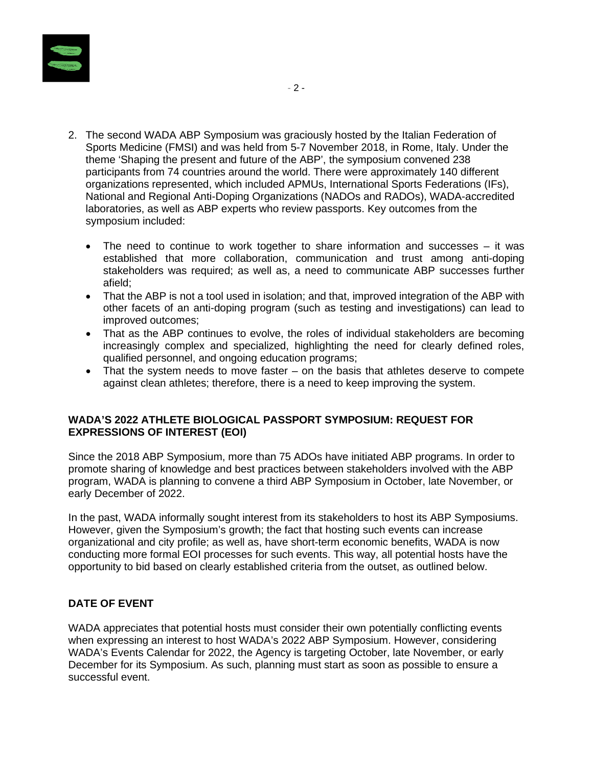

- 2. The second WADA ABP Symposium was graciously hosted by the Italian Federation of Sports Medicine (FMSI) and was held from 5-7 November 2018, in Rome, Italy. Under the theme 'Shaping the present and future of the ABP', the symposium convened 238 participants from 74 countries around the world. There were approximately 140 different organizations represented, which included APMUs, International Sports Federations (IFs), National and Regional Anti-Doping Organizations (NADOs and RADOs), WADA-accredited laboratories, as well as ABP experts who review passports. Key outcomes from the symposium included:
	- The need to continue to work together to share information and successes  $-$  it was established that more collaboration, communication and trust among anti-doping stakeholders was required; as well as, a need to communicate ABP successes further afield;
	- That the ABP is not a tool used in isolation; and that, improved integration of the ABP with other facets of an anti-doping program (such as testing and investigations) can lead to improved outcomes;
	- That as the ABP continues to evolve, the roles of individual stakeholders are becoming increasingly complex and specialized, highlighting the need for clearly defined roles, qualified personnel, and ongoing education programs;
	- That the system needs to move faster on the basis that athletes deserve to compete against clean athletes; therefore, there is a need to keep improving the system.

### **WADA'S 2022 ATHLETE BIOLOGICAL PASSPORT SYMPOSIUM: REQUEST FOR EXPRESSIONS OF INTEREST (EOI)**

Since the 2018 ABP Symposium, more than 75 ADOs have initiated ABP programs. In order to promote sharing of knowledge and best practices between stakeholders involved with the ABP program, WADA is planning to convene a third ABP Symposium in October, late November, or early December of 2022.

In the past, WADA informally sought interest from its stakeholders to host its ABP Symposiums. However, given the Symposium's growth; the fact that hosting such events can increase organizational and city profile; as well as, have short-term economic benefits, WADA is now conducting more formal EOI processes for such events. This way, all potential hosts have the opportunity to bid based on clearly established criteria from the outset, as outlined below.

# **DATE OF EVENT**

WADA appreciates that potential hosts must consider their own potentially conflicting events when expressing an interest to host WADA's 2022 ABP Symposium. However, considering WADA's Events Calendar for 2022, the Agency is targeting October, late November, or early December for its Symposium. As such, planning must start as soon as possible to ensure a successful event.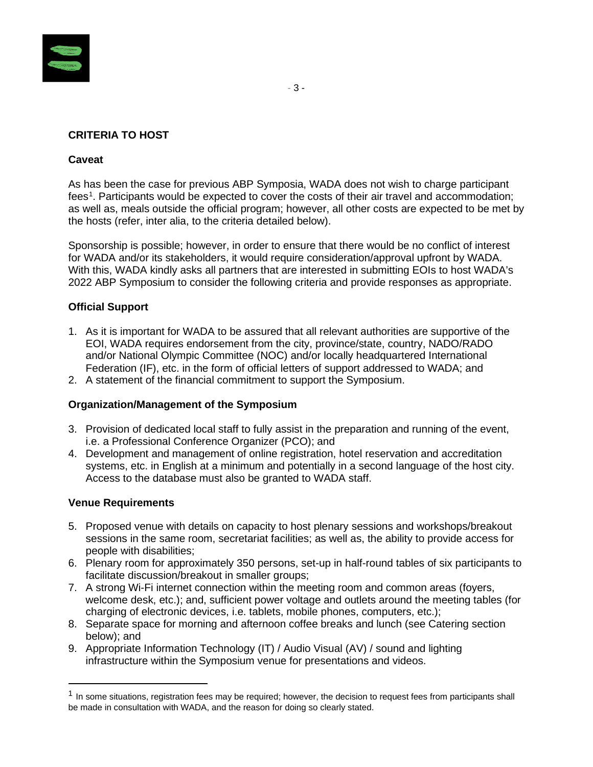

## **CRITERIA TO HOST**

### **Caveat**

As has been the case for previous ABP Symposia, WADA does not wish to charge participant fees<sup>[1](#page-2-0)</sup>. Participants would be expected to cover the costs of their air travel and accommodation; as well as, meals outside the official program; however, all other costs are expected to be met by the hosts (refer, inter alia, to the criteria detailed below).

Sponsorship is possible; however, in order to ensure that there would be no conflict of interest for WADA and/or its stakeholders, it would require consideration/approval upfront by WADA. With this, WADA kindly asks all partners that are interested in submitting EOIs to host WADA's 2022 ABP Symposium to consider the following criteria and provide responses as appropriate.

### **Official Support**

- 1. As it is important for WADA to be assured that all relevant authorities are supportive of the EOI, WADA requires endorsement from the city, province/state, country, NADO/RADO and/or National Olympic Committee (NOC) and/or locally headquartered International Federation (IF), etc. in the form of official letters of support addressed to WADA; and
- 2. A statement of the financial commitment to support the Symposium.

### **Organization/Management of the Symposium**

- 3. Provision of dedicated local staff to fully assist in the preparation and running of the event, i.e. a Professional Conference Organizer (PCO); and
- 4. Development and management of online registration, hotel reservation and accreditation systems, etc. in English at a minimum and potentially in a second language of the host city. Access to the database must also be granted to WADA staff.

#### **Venue Requirements**

- 5. Proposed venue with details on capacity to host plenary sessions and workshops/breakout sessions in the same room, secretariat facilities; as well as, the ability to provide access for people with disabilities;
- 6. Plenary room for approximately 350 persons, set-up in half-round tables of six participants to facilitate discussion/breakout in smaller groups;
- 7. A strong Wi-Fi internet connection within the meeting room and common areas (foyers, welcome desk, etc.); and, sufficient power voltage and outlets around the meeting tables (for charging of electronic devices, i.e. tablets, mobile phones, computers, etc.);
- 8. Separate space for morning and afternoon coffee breaks and lunch (see Catering section below); and
- 9. Appropriate Information Technology (IT) / Audio Visual (AV) / sound and lighting infrastructure within the Symposium venue for presentations and videos.

<span id="page-2-0"></span><sup>&</sup>lt;sup>1</sup> In some situations, registration fees may be required; however, the decision to request fees from participants shall be made in consultation with WADA, and the reason for doing so clearly stated.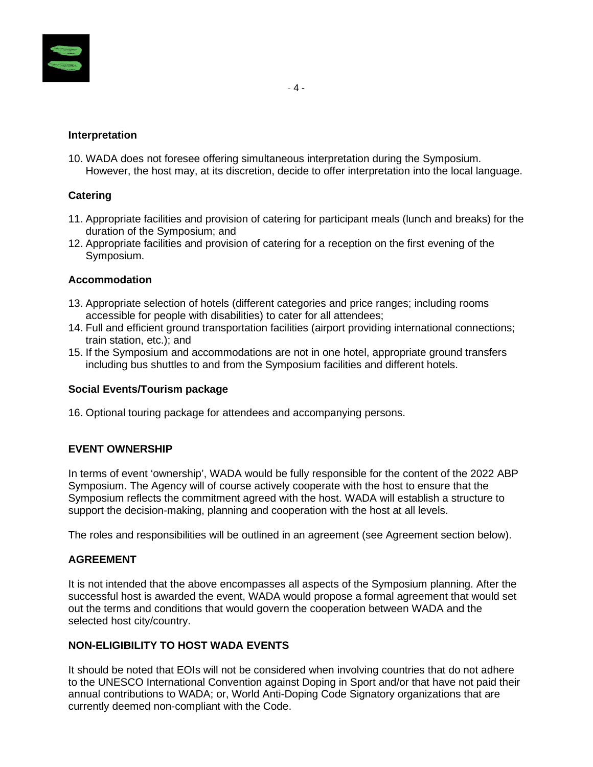

### **Interpretation**

10. WADA does not foresee offering simultaneous interpretation during the Symposium. However, the host may, at its discretion, decide to offer interpretation into the local language.

### **Catering**

- 11. Appropriate facilities and provision of catering for participant meals (lunch and breaks) for the duration of the Symposium; and
- 12. Appropriate facilities and provision of catering for a reception on the first evening of the Symposium.

### **Accommodation**

- 13. Appropriate selection of hotels (different categories and price ranges; including rooms accessible for people with disabilities) to cater for all attendees;
- 14. Full and efficient ground transportation facilities (airport providing international connections; train station, etc.); and
- 15. If the Symposium and accommodations are not in one hotel, appropriate ground transfers including bus shuttles to and from the Symposium facilities and different hotels.

#### **Social Events/Tourism package**

16. Optional touring package for attendees and accompanying persons.

# **EVENT OWNERSHIP**

In terms of event 'ownership', WADA would be fully responsible for the content of the 2022 ABP Symposium. The Agency will of course actively cooperate with the host to ensure that the Symposium reflects the commitment agreed with the host. WADA will establish a structure to support the decision-making, planning and cooperation with the host at all levels.

The roles and responsibilities will be outlined in an agreement (see Agreement section below).

### **AGREEMENT**

It is not intended that the above encompasses all aspects of the Symposium planning. After the successful host is awarded the event, WADA would propose a formal agreement that would set out the terms and conditions that would govern the cooperation between WADA and the selected host city/country.

### **NON-ELIGIBILITY TO HOST WADA EVENTS**

It should be noted that EOIs will not be considered when involving countries that do not adhere to the UNESCO International Convention against Doping in Sport and/or that have not paid their annual contributions to WADA; or, World Anti-Doping Code Signatory organizations that are currently deemed non-compliant with the Code.